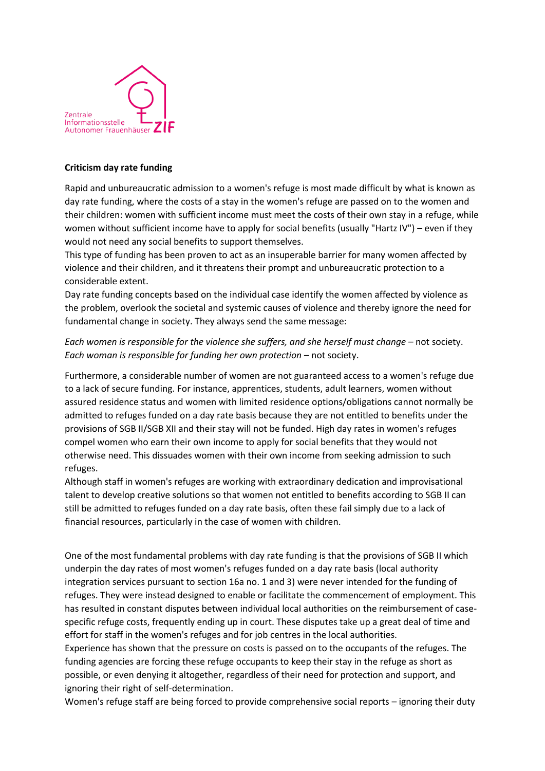

## **Criticism day rate funding**

Rapid and unbureaucratic admission to a women's refuge is most made difficult by what is known as day rate funding, where the costs of a stay in the women's refuge are passed on to the women and their children: women with sufficient income must meet the costs of their own stay in a refuge, while women without sufficient income have to apply for social benefits (usually "Hartz IV") – even if they would not need any social benefits to support themselves.

This type of funding has been proven to act as an insuperable barrier for many women affected by violence and their children, and it threatens their prompt and unbureaucratic protection to a considerable extent.

Day rate funding concepts based on the individual case identify the women affected by violence as the problem, overlook the societal and systemic causes of violence and thereby ignore the need for fundamental change in society. They always send the same message:

## *Each women is responsible for the violence she suffers, and she herself must change – not society. Each woman is responsible for funding her own protection – not society.*

Furthermore, a considerable number of women are not guaranteed access to a women's refuge due to a lack of secure funding. For instance, apprentices, students, adult learners, women without assured residence status and women with limited residence options/obligations cannot normally be admitted to refuges funded on a day rate basis because they are not entitled to benefits under the provisions of SGB II/SGB XII and their stay will not be funded. High day rates in women's refuges compel women who earn their own income to apply for social benefits that they would not otherwise need. This dissuades women with their own income from seeking admission to such refuges.

Although staff in women's refuges are working with extraordinary dedication and improvisational talent to develop creative solutions so that women not entitled to benefits according to SGB II can still be admitted to refuges funded on a day rate basis, often these fail simply due to a lack of financial resources, particularly in the case of women with children.

One of the most fundamental problems with day rate funding is that the provisions of SGB II which underpin the day rates of most women's refuges funded on a day rate basis (local authority integration services pursuant to section 16a no. 1 and 3) were never intended for the funding of refuges. They were instead designed to enable or facilitate the commencement of employment. This has resulted in constant disputes between individual local authorities on the reimbursement of casespecific refuge costs, frequently ending up in court. These disputes take up a great deal of time and effort for staff in the women's refuges and for job centres in the local authorities.

Experience has shown that the pressure on costs is passed on to the occupants of the refuges. The funding agencies are forcing these refuge occupants to keep their stay in the refuge as short as possible, or even denying it altogether, regardless of their need for protection and support, and ignoring their right of self-determination.

Women's refuge staff are being forced to provide comprehensive social reports – ignoring their duty